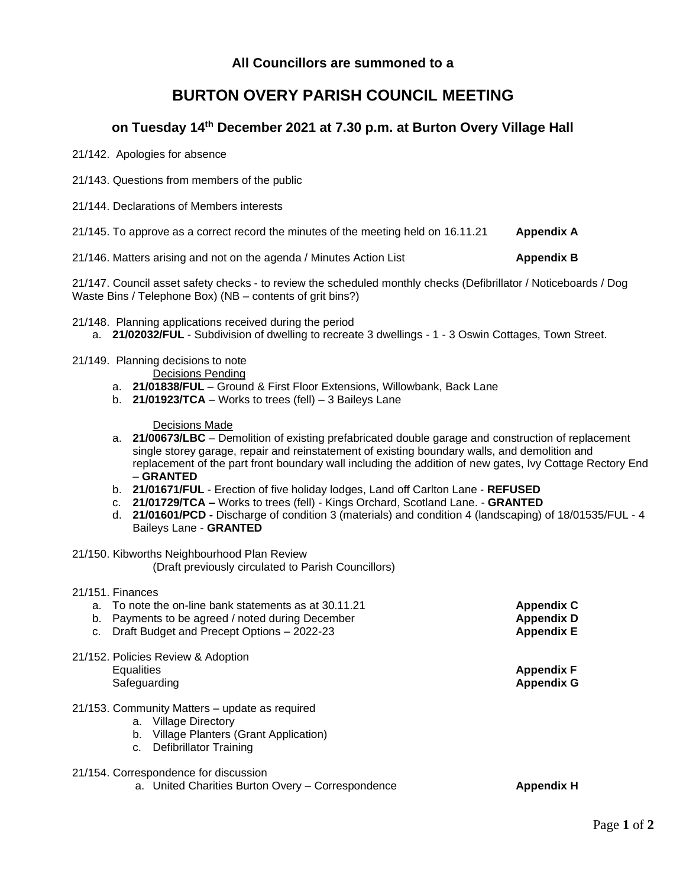## **All Councillors are summoned to a**

# **BURTON OVERY PARISH COUNCIL MEETING**

## **on Tuesday 14 th December 2021 at 7.30 p.m. at Burton Overy Village Hall**

21/142. Apologies for absence

- 21/143. Questions from members of the public
- 21/144. Declarations of Members interests
- 21/145. To approve as a correct record the minutes of the meeting held on 16.11.21 **Appendix A**

21/146. Matters arising and not on the agenda / Minutes Action List **Appendix B**

21/147. Council asset safety checks - to review the scheduled monthly checks (Defibrillator / Noticeboards / Dog Waste Bins / Telephone Box) (NB – contents of grit bins?)

21/148. Planning applications received during the period

- a. **21/02032/FUL** Subdivision of dwelling to recreate 3 dwellings 1 3 Oswin Cottages, Town Street.
- 21/149. Planning decisions to note
	- Decisions Pending
	- a. **21/01838/FUL** Ground & First Floor Extensions, Willowbank, Back Lane
	- b. **21/01923/TCA** Works to trees (fell) 3 Baileys Lane

Decisions Made

- a. **21/00673/LBC** Demolition of existing prefabricated double garage and construction of replacement single storey garage, repair and reinstatement of existing boundary walls, and demolition and replacement of the part front boundary wall including the addition of new gates, Ivy Cottage Rectory End – **GRANTED**
- b. **21/01671/FUL** Erection of five holiday lodges, Land off Carlton Lane **REFUSED**
- c. **21/01729/TCA –** Works to trees (fell) Kings Orchard, Scotland Lane. **GRANTED**
- d. **21/01601/PCD -** Discharge of condition 3 (materials) and condition 4 (landscaping) of 18/01535/FUL 4 Baileys Lane - **GRANTED**
- 21/150. Kibworths Neighbourhood Plan Review (Draft previously circulated to Parish Councillors)
- 21/151. Finances

| a. |                   | To note the on-line bank statements as at 30.11.21 | <b>Appendix C</b> |
|----|-------------------|----------------------------------------------------|-------------------|
| b. |                   | Payments to be agreed / noted during December      | <b>Appendix D</b> |
| c. |                   | Draft Budget and Precept Options - 2022-23         | <b>Appendix E</b> |
|    |                   | 21/152. Policies Review & Adoption                 |                   |
|    | <b>Equalities</b> |                                                    | <b>Appendix F</b> |
|    | Safeguarding      |                                                    | <b>Appendix G</b> |
|    |                   | 21/153. Community Matters – update as required     |                   |
|    | a.                | <b>Village Directory</b>                           |                   |
|    | b.                | Village Planters (Grant Application)               |                   |
|    | c.                | Defibrillator Training                             |                   |

- 21/154. Correspondence for discussion
	- a. United Charities Burton Overy Correspondence **Appendix H**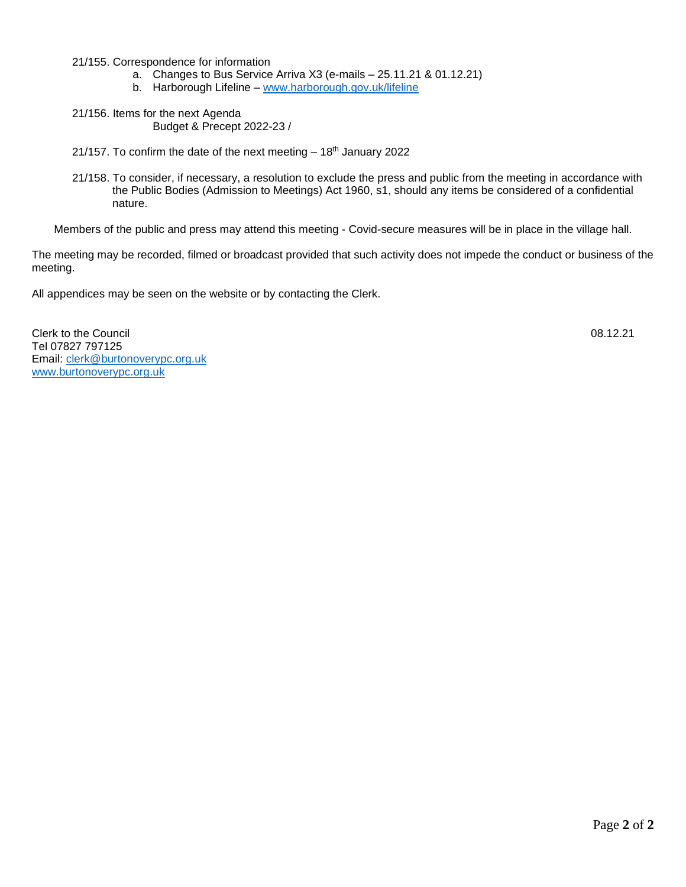21/155. Correspondence for information

- a. Changes to Bus Service Arriva X3 (e-mails 25.11.21 & 01.12.21)
- b. Harborough Lifeline [www.harborough.gov.uk/lifeline](http://www.harborough.gov.uk/lifeline)
- 21/156. Items for the next Agenda Budget & Precept 2022-23 /
- 21/157. To confirm the date of the next meeting  $-18<sup>th</sup>$  January 2022
- 21/158. To consider, if necessary, a resolution to exclude the press and public from the meeting in accordance with the Public Bodies (Admission to Meetings) Act 1960, s1, should any items be considered of a confidential nature.

Members of the public and press may attend this meeting - Covid-secure measures will be in place in the village hall.

The meeting may be recorded, filmed or broadcast provided that such activity does not impede the conduct or business of the meeting.

All appendices may be seen on the website or by contacting the Clerk.

Clerk to the Council 08.12.21 Tel 07827 797125 Email: [clerk@burtonoverypc.org.uk](mailto:clerk@burtonoverypc.org.uk) [www.burtonoverypc.org.uk](http://www.burtonoverypc.org.uk/)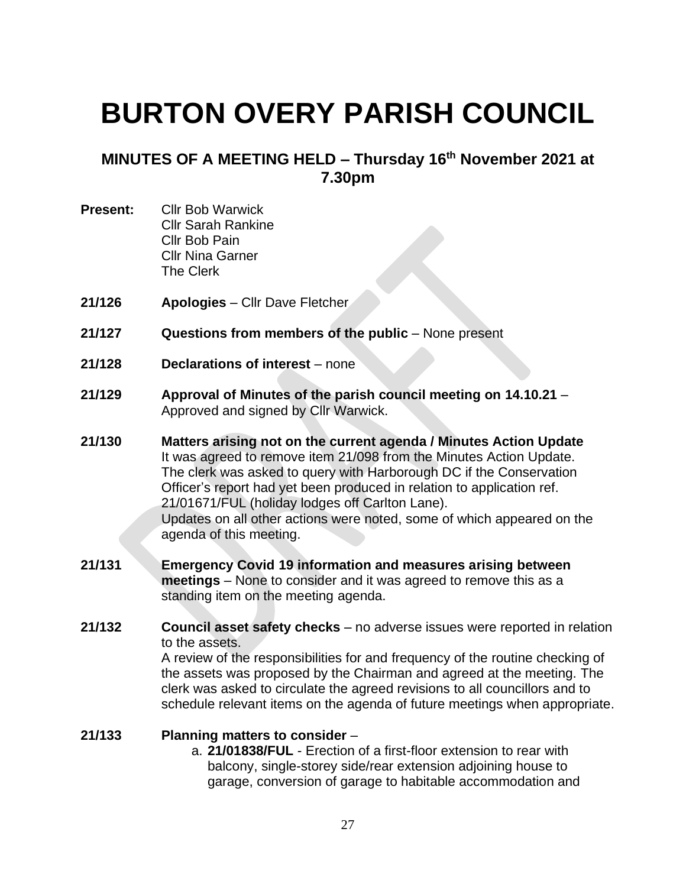# **BURTON OVERY PARISH COUNCIL**

# **MINUTES OF A MEETING HELD – Thursday 16 th November 2021 at 7.30pm**

- **Present:** Cllr Bob Warwick Cllr Sarah Rankine Cllr Bob Pain Cllr Nina Garner The Clerk
- **21/126 Apologies** Cllr Dave Fletcher
- **21/127 Questions from members of the public** None present
- **21/128 Declarations of interest** none
- **21/129 Approval of Minutes of the parish council meeting on 14.10.21** Approved and signed by Cllr Warwick.
- **21/130 Matters arising not on the current agenda / Minutes Action Update** It was agreed to remove item 21/098 from the Minutes Action Update. The clerk was asked to query with Harborough DC if the Conservation Officer's report had yet been produced in relation to application ref. 21/01671/FUL (holiday lodges off Carlton Lane). Updates on all other actions were noted, some of which appeared on the agenda of this meeting.
- **21/131 Emergency Covid 19 information and measures arising between meetings** – None to consider and it was agreed to remove this as a standing item on the meeting agenda.
- **21/132 Council asset safety checks** no adverse issues were reported in relation to the assets.

A review of the responsibilities for and frequency of the routine checking of the assets was proposed by the Chairman and agreed at the meeting. The clerk was asked to circulate the agreed revisions to all councillors and to schedule relevant items on the agenda of future meetings when appropriate.

#### **21/133 Planning matters to consider** –

a. **21/01838/FUL** - Erection of a first-floor extension to rear with balcony, single-storey side/rear extension adjoining house to garage, conversion of garage to habitable accommodation and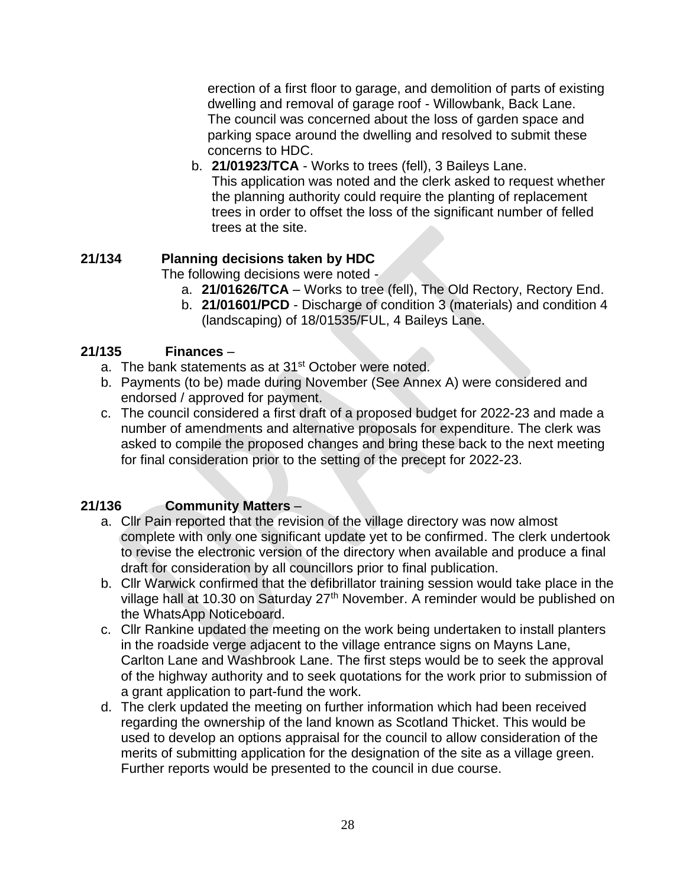erection of a first floor to garage, and demolition of parts of existing dwelling and removal of garage roof - Willowbank, Back Lane. The council was concerned about the loss of garden space and parking space around the dwelling and resolved to submit these concerns to HDC.

b. **21/01923/TCA** - Works to trees (fell), 3 Baileys Lane. This application was noted and the clerk asked to request whether the planning authority could require the planting of replacement trees in order to offset the loss of the significant number of felled trees at the site.

# **21/134 Planning decisions taken by HDC**

The following decisions were noted -

- a. **21/01626/TCA** Works to tree (fell), The Old Rectory, Rectory End.
- b. **21/01601/PCD** Discharge of condition 3 (materials) and condition 4 (landscaping) of 18/01535/FUL, 4 Baileys Lane.

# **21/135 Finances** –

- a. The bank statements as at 31<sup>st</sup> October were noted.
- b. Payments (to be) made during November (See Annex A) were considered and endorsed / approved for payment.
- c. The council considered a first draft of a proposed budget for 2022-23 and made a number of amendments and alternative proposals for expenditure. The clerk was asked to compile the proposed changes and bring these back to the next meeting for final consideration prior to the setting of the precept for 2022-23.

# **21/136 Community Matters** –

- a. Cllr Pain reported that the revision of the village directory was now almost complete with only one significant update yet to be confirmed. The clerk undertook to revise the electronic version of the directory when available and produce a final draft for consideration by all councillors prior to final publication.
- b. Cllr Warwick confirmed that the defibrillator training session would take place in the village hall at 10.30 on Saturday 27<sup>th</sup> November. A reminder would be published on the WhatsApp Noticeboard.
- c. Cllr Rankine updated the meeting on the work being undertaken to install planters in the roadside verge adjacent to the village entrance signs on Mayns Lane, Carlton Lane and Washbrook Lane. The first steps would be to seek the approval of the highway authority and to seek quotations for the work prior to submission of a grant application to part-fund the work.
- d. The clerk updated the meeting on further information which had been received regarding the ownership of the land known as Scotland Thicket. This would be used to develop an options appraisal for the council to allow consideration of the merits of submitting application for the designation of the site as a village green. Further reports would be presented to the council in due course.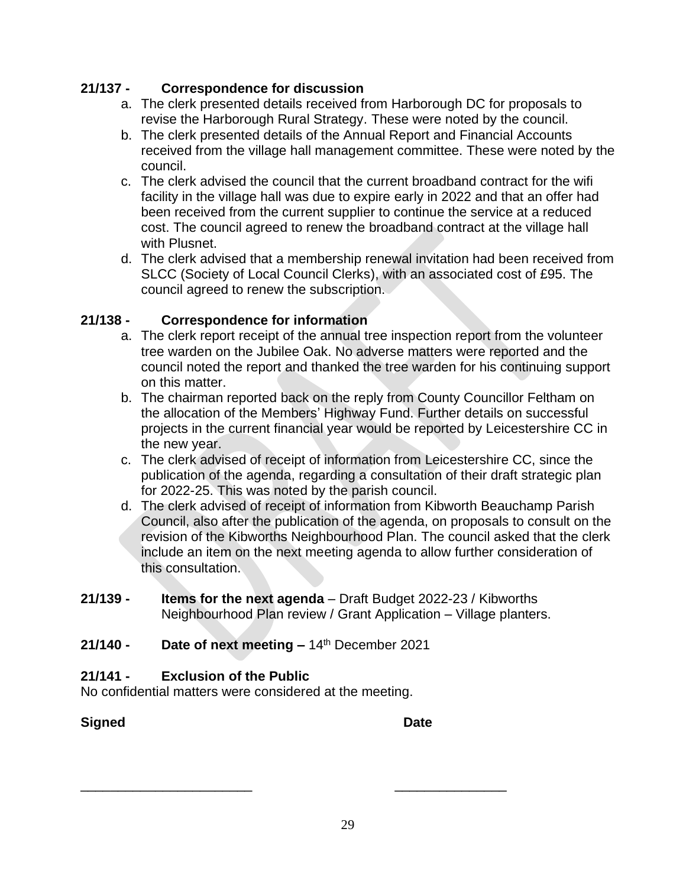# **21/137 - Correspondence for discussion**

- a. The clerk presented details received from Harborough DC for proposals to revise the Harborough Rural Strategy. These were noted by the council.
- b. The clerk presented details of the Annual Report and Financial Accounts received from the village hall management committee. These were noted by the council.
- c. The clerk advised the council that the current broadband contract for the wifi facility in the village hall was due to expire early in 2022 and that an offer had been received from the current supplier to continue the service at a reduced cost. The council agreed to renew the broadband contract at the village hall with Plusnet.
- d. The clerk advised that a membership renewal invitation had been received from SLCC (Society of Local Council Clerks), with an associated cost of £95. The council agreed to renew the subscription.

# **21/138 - Correspondence for information**

- a. The clerk report receipt of the annual tree inspection report from the volunteer tree warden on the Jubilee Oak. No adverse matters were reported and the council noted the report and thanked the tree warden for his continuing support on this matter.
- b. The chairman reported back on the reply from County Councillor Feltham on the allocation of the Members' Highway Fund. Further details on successful projects in the current financial year would be reported by Leicestershire CC in the new year.
- c. The clerk advised of receipt of information from Leicestershire CC, since the publication of the agenda, regarding a consultation of their draft strategic plan for 2022-25. This was noted by the parish council.
- d. The clerk advised of receipt of information from Kibworth Beauchamp Parish Council, also after the publication of the agenda, on proposals to consult on the revision of the Kibworths Neighbourhood Plan. The council asked that the clerk include an item on the next meeting agenda to allow further consideration of this consultation.
- **21/139 - Items for the next agenda** Draft Budget 2022-23 / Kibworths Neighbourhood Plan review / Grant Application – Village planters.

\_\_\_\_\_\_\_\_\_\_\_\_\_\_\_\_\_\_\_\_\_\_\_ \_\_\_\_\_\_\_\_\_\_\_\_\_\_\_

# **21/140 - Date of next meeting –** 14 th December 2021

# **21/141 - Exclusion of the Public**

No confidential matters were considered at the meeting.

# **Signed Date**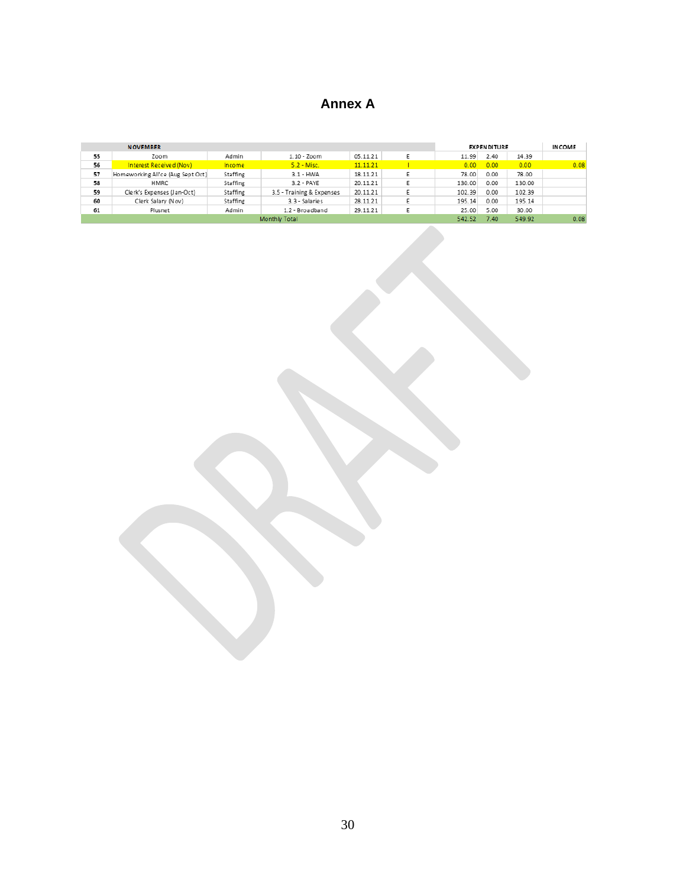# **Annex A**

|    | <b>NOVEMBER</b>                   |          |                           |          |  |        | <b>EXPENDITURE</b> |        | <b>INCOME</b> |
|----|-----------------------------------|----------|---------------------------|----------|--|--------|--------------------|--------|---------------|
| 55 | Zoom                              | Admin    | $1.10 - 700$ m            | 05.11.21 |  | 11.99  | 2.40               | 14.39  |               |
| 56 | Interest Received (Nov)           | Income   | $5.2 - Misc.$             | 11.11.21 |  | 0.00   | 0.00               | 0.00   | 0.08          |
| 57 | Homeworking All'ce (Aug Sept Oct) | Staffing | $3.1 - HWA$               | 18.11.21 |  | 78.00  | 0.00               | 78.00  |               |
| 58 | HMRC                              | Staffing | $3.2 - PAYE$              | 20.11.21 |  | 130.00 | 0.00               | 130.00 |               |
| 59 | Clerk's Expenses (Jan-Oct)        | Staffing | 3.5 - Training & Expenses | 20.11.21 |  | 102.39 | 0.00               | 102.39 |               |
| 60 | Clerk Salary (Nov)                | Staffing | 3.3 - Salaries            | 28.11.21 |  | 195.14 | 0.00               | 195.14 |               |
| 61 | Plusnet                           | Admin    | 1.2 - Broadband           | 29.11.21 |  | 25.00  | 5.00               | 30.00  |               |
|    | Monthly Total                     |          |                           |          |  |        | 7.40               | 549.92 | 0.08          |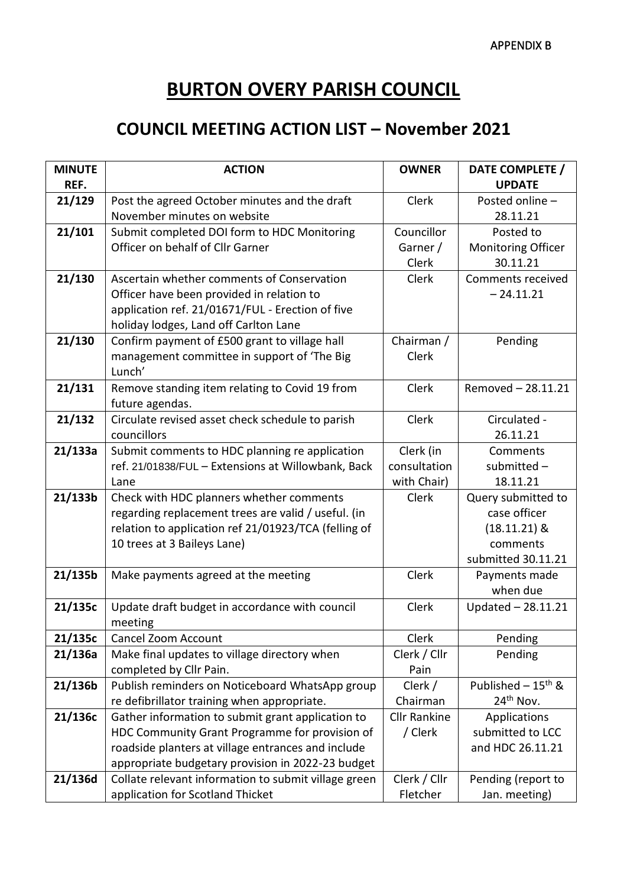# **BURTON OVERY PARISH COUNCIL**

# **COUNCIL MEETING ACTION LIST – November 2021**

| <b>MINUTE</b><br>REF. | <b>ACTION</b>                                                                                        | <b>OWNER</b>              | DATE COMPLETE /<br><b>UPDATE</b> |
|-----------------------|------------------------------------------------------------------------------------------------------|---------------------------|----------------------------------|
| 21/129                | Post the agreed October minutes and the draft                                                        | Clerk                     | Posted online -                  |
|                       | November minutes on website                                                                          |                           | 28.11.21                         |
| 21/101                | Submit completed DOI form to HDC Monitoring                                                          | Councillor                | Posted to                        |
|                       | Officer on behalf of Cllr Garner                                                                     | Garner /                  | <b>Monitoring Officer</b>        |
|                       |                                                                                                      | Clerk                     | 30.11.21                         |
| 21/130                | Ascertain whether comments of Conservation                                                           | Clerk                     | Comments received                |
|                       | Officer have been provided in relation to                                                            |                           | $-24.11.21$                      |
|                       | application ref. 21/01671/FUL - Erection of five                                                     |                           |                                  |
|                       | holiday lodges, Land off Carlton Lane                                                                |                           |                                  |
| 21/130                | Confirm payment of £500 grant to village hall                                                        | Chairman /                | Pending                          |
|                       | management committee in support of 'The Big                                                          | Clerk                     |                                  |
|                       | Lunch'                                                                                               |                           |                                  |
| 21/131                | Remove standing item relating to Covid 19 from                                                       | Clerk                     | Removed - 28.11.21               |
|                       | future agendas.                                                                                      |                           |                                  |
| 21/132                | Circulate revised asset check schedule to parish                                                     | Clerk                     | Circulated -                     |
|                       | councillors                                                                                          |                           | 26.11.21                         |
| 21/133a               | Submit comments to HDC planning re application<br>ref. 21/01838/FUL - Extensions at Willowbank, Back | Clerk (in<br>consultation | Comments<br>submitted-           |
|                       | Lane                                                                                                 | with Chair)               | 18.11.21                         |
| 21/133b               | Check with HDC planners whether comments                                                             | Clerk                     | Query submitted to               |
|                       | regarding replacement trees are valid / useful. (in                                                  |                           | case officer                     |
|                       | relation to application ref 21/01923/TCA (felling of                                                 |                           | $(18.11.21)$ &                   |
|                       | 10 trees at 3 Baileys Lane)                                                                          |                           | comments                         |
|                       |                                                                                                      |                           | submitted 30.11.21               |
| 21/135b               | Make payments agreed at the meeting                                                                  | Clerk                     | Payments made                    |
|                       |                                                                                                      |                           | when due                         |
| 21/135c               | Update draft budget in accordance with council                                                       | Clerk                     | Updated - 28.11.21               |
|                       | meeting                                                                                              |                           |                                  |
| 21/135c               | <b>Cancel Zoom Account</b>                                                                           | Clerk                     | Pending                          |
| 21/136a               | Make final updates to village directory when                                                         | Clerk / Cllr              | Pending                          |
|                       | completed by Cllr Pain.                                                                              | Pain                      |                                  |
| 21/136b               | Publish reminders on Noticeboard WhatsApp group                                                      | Clerk /                   | Published $-15$ <sup>th</sup> &  |
|                       | re defibrillator training when appropriate.                                                          | Chairman                  | 24 <sup>th</sup> Nov.            |
| 21/136c               | Gather information to submit grant application to                                                    | <b>Cllr Rankine</b>       | Applications                     |
|                       | HDC Community Grant Programme for provision of                                                       | / Clerk                   | submitted to LCC                 |
|                       | roadside planters at village entrances and include                                                   |                           | and HDC 26.11.21                 |
|                       | appropriate budgetary provision in 2022-23 budget                                                    |                           |                                  |
| 21/136d               | Collate relevant information to submit village green                                                 | Clerk / Cllr              | Pending (report to               |
|                       | application for Scotland Thicket                                                                     | Fletcher                  | Jan. meeting)                    |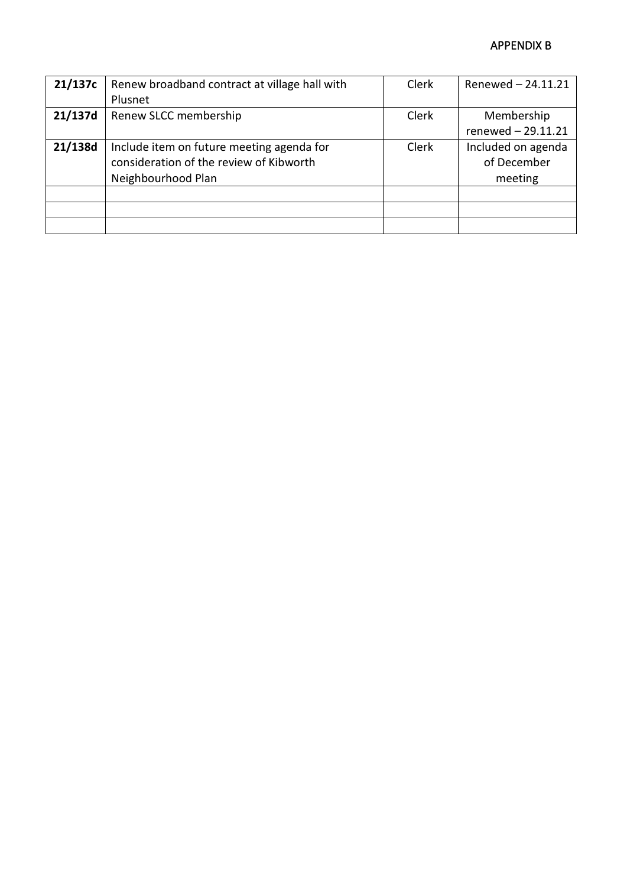#### APPENDIX B

| 21/137c | Renew broadband contract at village hall with | <b>Clerk</b> | Renewed - 24.11.21 |
|---------|-----------------------------------------------|--------------|--------------------|
|         | Plusnet                                       |              |                    |
| 21/137d | Renew SLCC membership                         | <b>Clerk</b> | Membership         |
|         |                                               |              | renewed - 29.11.21 |
| 21/138d | Include item on future meeting agenda for     | <b>Clerk</b> | Included on agenda |
|         | consideration of the review of Kibworth       |              | of December        |
|         | Neighbourhood Plan                            |              | meeting            |
|         |                                               |              |                    |
|         |                                               |              |                    |
|         |                                               |              |                    |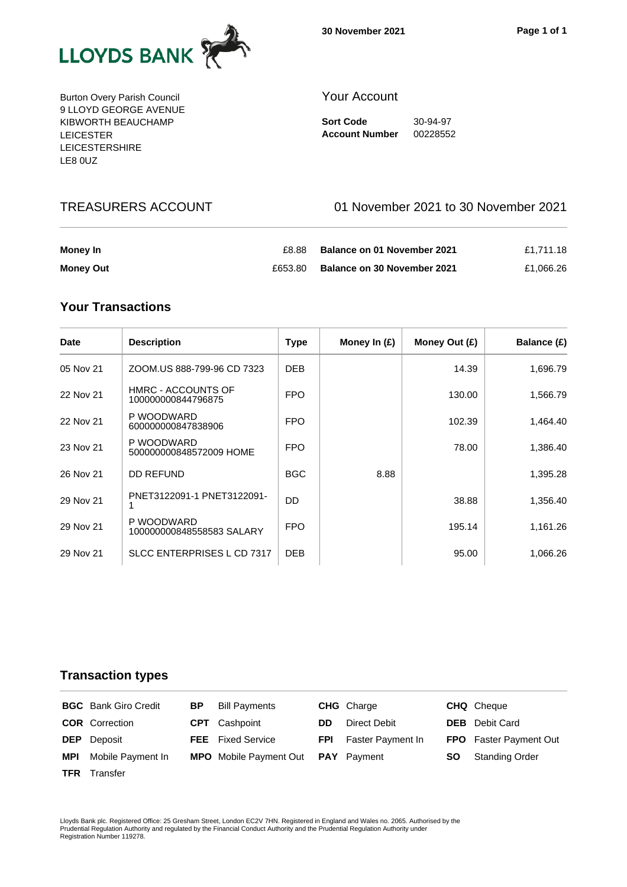

Burton Overy Parish Council 9 LLOYD GEORGE AVENUE KIBWORTH BEAUCHAMP LEICESTER LEICESTERSHIRE LE8 0UZ

#### Your Account

**Sort Code** 30-94-97 **Account Number** 00228552

# TREASURERS ACCOUNT 01 November 2021 to 30 November 2021

| Money In         | £8.88   | <b>Balance on 01 November 2021</b> | £1.711.18 |
|------------------|---------|------------------------------------|-----------|
| <b>Money Out</b> | £653.80 | <b>Balance on 30 November 2021</b> | £1.066.26 |

# **Your Transactions**

| <b>Date</b> | <b>Description</b>                              | <b>Type</b> | Money In $(E)$ | Money Out (£) | Balance (£) |
|-------------|-------------------------------------------------|-------------|----------------|---------------|-------------|
| 05 Nov 21   | ZOOM.US 888-799-96 CD 7323                      | <b>DEB</b>  |                | 14.39         | 1,696.79    |
| 22 Nov 21   | <b>HMRC - ACCOUNTS OF</b><br>100000000844796875 | <b>FPO</b>  |                | 130.00        | 1,566.79    |
| 22 Nov 21   | P WOODWARD<br>600000000847838906                | <b>FPO</b>  |                | 102.39        | 1,464.40    |
| 23 Nov 21   | P WOODWARD<br>500000000848572009 HOME           | <b>FPO</b>  |                | 78.00         | 1,386.40    |
| 26 Nov 21   | DD REFUND                                       | <b>BGC</b>  | 8.88           |               | 1,395.28    |
| 29 Nov 21   | PNET3122091-1 PNET3122091-                      | DD          |                | 38.88         | 1,356.40    |
| 29 Nov 21   | P WOODWARD<br>100000000848558583 SALARY         | <b>FPO</b>  |                | 195.14        | 1,161.26    |
| 29 Nov 21   | SLCC ENTERPRISES L CD 7317                      | <b>DEB</b>  |                | 95.00         | 1,066.26    |

#### **Transaction types**

|            | <b>BGC</b> Bank Giro Credit | ВP | <b>Bill Payments</b>                      |            | <b>CHG</b> Charge |     | <b>CHQ</b> Cheque             |
|------------|-----------------------------|----|-------------------------------------------|------------|-------------------|-----|-------------------------------|
|            | <b>COR</b> Correction       |    | <b>CPT</b> Cashpoint                      | DD.        | Direct Debit      |     | <b>DEB</b> Debit Card         |
|            | <b>DEP</b> Deposit          |    | <b>FEE</b> Fixed Service                  | <b>FPI</b> | Faster Payment In |     | <b>FPO</b> Faster Payment Out |
| <b>MPI</b> | Mobile Payment In           |    | <b>MPO</b> Mobile Payment Out PAY Payment |            |                   | SO. | <b>Standing Order</b>         |
| TFR 1      | Transfer                    |    |                                           |            |                   |     |                               |

Lloyds Bank plc. Registered Office: 25 Gresham Street, London EC2V 7HN. Registered in England and Wales no. 2065. Authorised by the<br>Prudential Regulation Authority and regulated by the Financial Conduct Authority and the P Registration Number 119278.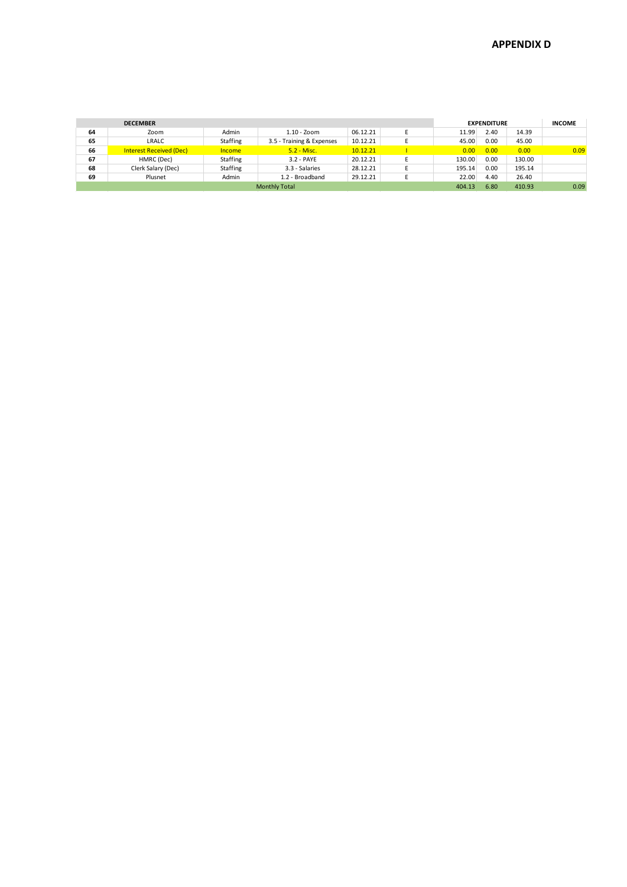|    | <b>DECEMBER</b>                |                 |                           |          |  |        | <b>EXPENDITURE</b> |        | <b>INCOME</b> |
|----|--------------------------------|-----------------|---------------------------|----------|--|--------|--------------------|--------|---------------|
| 64 | Zoom                           | Admin           | $1.10 - Z0$ cm            | 06.12.21 |  | 11.99  | 2.40               | 14.39  |               |
| 65 | LRALC                          | <b>Staffing</b> | 3.5 - Training & Expenses | 10.12.21 |  | 45.00  | 0.00               | 45.00  |               |
| 66 | <b>Interest Received (Dec)</b> | <b>Income</b>   | $5.2 - Misc.$             | 10.12.21 |  | 0.00   | 0.00               | 0.00   | 0.09          |
| 67 | HMRC (Dec)                     | <b>Staffing</b> | 3.2 - PAYE                | 20.12.21 |  | 130.00 | 0.00               | 130.00 |               |
| 68 | Clerk Salary (Dec)             | <b>Staffing</b> | 3.3 - Salaries            | 28.12.21 |  | 195.14 | 0.00               | 195.14 |               |
| 69 | Plusnet                        | Admin           | 1.2 - Broadband           | 29.12.21 |  | 22.00  | 4.40               | 26.40  |               |
|    | <b>Monthly Total</b>           |                 |                           |          |  |        | 6.80               | 410.93 | 0.09          |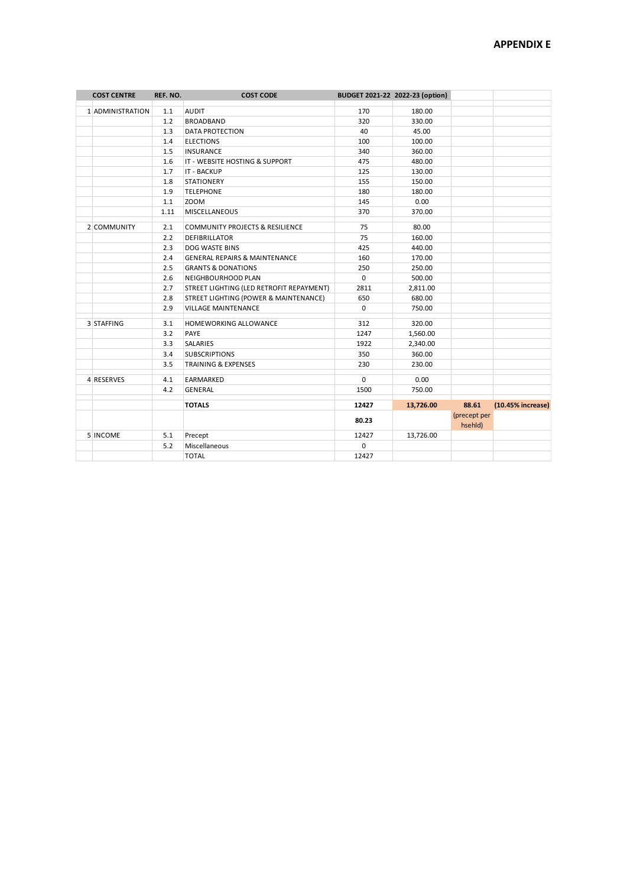| <b>COST CENTRE</b> | REF. NO. | <b>COST CODE</b>                           |             | BUDGET 2021-22 2022-23 (option) |                         |                   |
|--------------------|----------|--------------------------------------------|-------------|---------------------------------|-------------------------|-------------------|
| 1 ADMINISTRATION   | 1.1      | <b>AUDIT</b>                               | 170         | 180.00                          |                         |                   |
|                    | 1.2      | <b>BROADBAND</b>                           | 320         | 330.00                          |                         |                   |
|                    | 1.3      | <b>DATA PROTECTION</b>                     | 40          | 45.00                           |                         |                   |
|                    | 1.4      | <b>ELECTIONS</b>                           | 100         | 100.00                          |                         |                   |
|                    | 1.5      | <b>INSURANCE</b>                           | 340         | 360.00                          |                         |                   |
|                    | 1.6      | IT - WEBSITE HOSTING & SUPPORT             | 475         | 480.00                          |                         |                   |
|                    | 1.7      | <b>IT - BACKUP</b>                         | 125         | 130.00                          |                         |                   |
|                    | 1.8      | <b>STATIONERY</b>                          | 155         | 150.00                          |                         |                   |
|                    | 1.9      | <b>TELEPHONE</b>                           | 180         | 180.00                          |                         |                   |
|                    | $1.1\,$  | ZOOM                                       | 145         | 0.00                            |                         |                   |
|                    | 1.11     | <b>MISCELLANEOUS</b>                       | 370         | 370.00                          |                         |                   |
| 2 COMMUNITY        | 2.1      | <b>COMMUNITY PROJECTS &amp; RESILIENCE</b> | 75          | 80.00                           |                         |                   |
|                    | 2.2      | <b>DEFIBRILLATOR</b>                       | 75          | 160.00                          |                         |                   |
|                    | 2.3      | DOG WASTE BINS                             | 425         | 440.00                          |                         |                   |
|                    | 2.4      | <b>GENERAL REPAIRS &amp; MAINTENANCE</b>   | 160         | 170.00                          |                         |                   |
|                    | 2.5      | <b>GRANTS &amp; DONATIONS</b>              | 250         | 250.00                          |                         |                   |
|                    | 2.6      | NEIGHBOURHOOD PLAN                         | $\mathbf 0$ | 500.00                          |                         |                   |
|                    | 2.7      | STREET LIGHTING (LED RETROFIT REPAYMENT)   | 2811        | 2,811.00                        |                         |                   |
|                    | 2.8      | STREET LIGHTING (POWER & MAINTENANCE)      | 650         | 680.00                          |                         |                   |
|                    | 2.9      | <b>VILLAGE MAINTENANCE</b>                 | $\mathbf 0$ | 750.00                          |                         |                   |
| 3 STAFFING         | 3.1      | HOMEWORKING ALLOWANCE                      | 312         | 320.00                          |                         |                   |
|                    | 3.2      | PAYE                                       | 1247        | 1,560.00                        |                         |                   |
|                    | 3.3      | <b>SALARIES</b>                            | 1922        | 2,340.00                        |                         |                   |
|                    | 3.4      | <b>SUBSCRIPTIONS</b>                       | 350         | 360.00                          |                         |                   |
|                    | 3.5      | <b>TRAINING &amp; EXPENSES</b>             | 230         | 230.00                          |                         |                   |
| 4 RESERVES         | 4.1      | EARMARKED                                  | $\mathbf 0$ | 0.00                            |                         |                   |
|                    | 4.2      | GENERAL                                    | 1500        | 750.00                          |                         |                   |
|                    |          | <b>TOTALS</b>                              | 12427       | 13,726.00                       | 88.61                   | (10.45% increase) |
|                    |          |                                            | 80.23       |                                 | (precept per<br>hsehld) |                   |
| 5 INCOME           | 5.1      | Precept                                    | 12427       | 13,726.00                       |                         |                   |
|                    | 5.2      | Miscellaneous                              | 0           |                                 |                         |                   |
|                    |          | <b>TOTAL</b>                               | 12427       |                                 |                         |                   |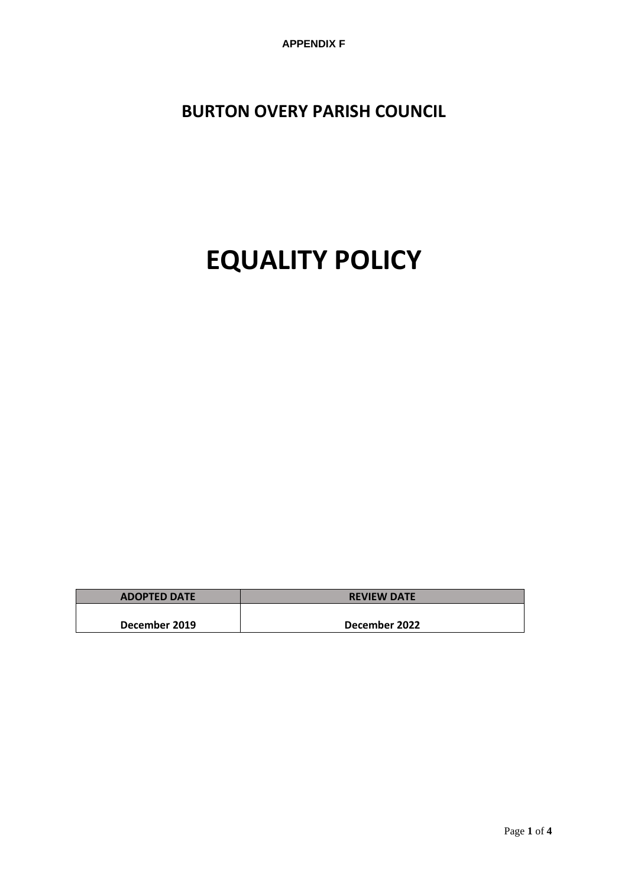**APPENDIX F**

**BURTON OVERY PARISH COUNCIL**

# **EQUALITY POLICY**

| <b>ADOPTED DATE</b> | <b>REVIEW DATE</b> |
|---------------------|--------------------|
|                     |                    |
| December 2019       | December 2022      |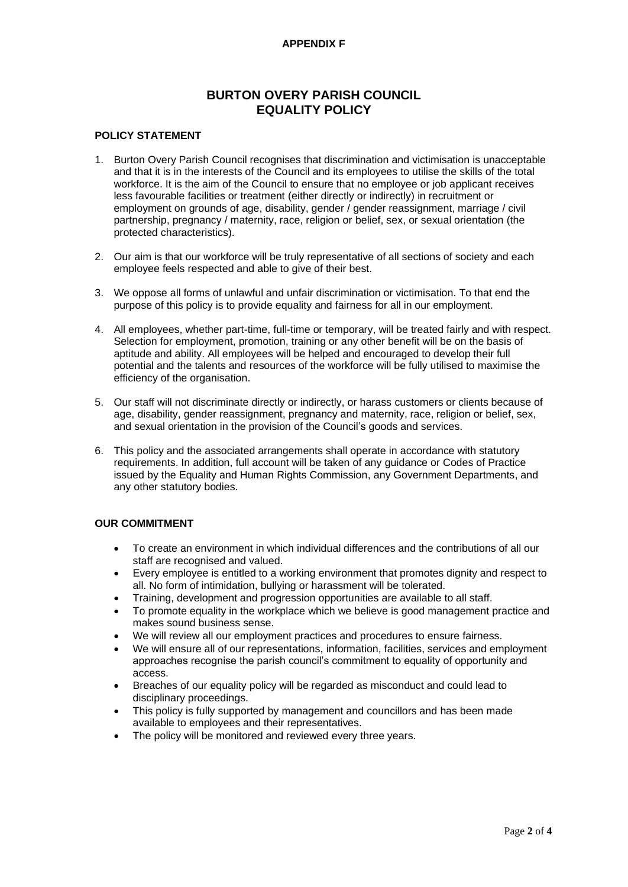#### **APPENDIX F**

## **BURTON OVERY PARISH COUNCIL EQUALITY POLICY**

#### **POLICY STATEMENT**

- 1. Burton Overy Parish Council recognises that discrimination and victimisation is unacceptable and that it is in the interests of the Council and its employees to utilise the skills of the total workforce. It is the aim of the Council to ensure that no employee or job applicant receives less favourable facilities or treatment (either directly or indirectly) in recruitment or employment on grounds of age, disability, gender / gender reassignment, marriage / civil partnership, pregnancy / maternity, race, religion or belief, sex, or sexual orientation (the protected characteristics).
- 2. Our aim is that our workforce will be truly representative of all sections of society and each employee feels respected and able to give of their best.
- 3. We oppose all forms of unlawful and unfair discrimination or victimisation. To that end the purpose of this policy is to provide equality and fairness for all in our employment.
- 4. All employees, whether part-time, full-time or temporary, will be treated fairly and with respect. Selection for employment, promotion, training or any other benefit will be on the basis of aptitude and ability. All employees will be helped and encouraged to develop their full potential and the talents and resources of the workforce will be fully utilised to maximise the efficiency of the organisation.
- 5. Our staff will not discriminate directly or indirectly, or harass customers or clients because of age, disability, gender reassignment, pregnancy and maternity, race, religion or belief, sex, and sexual orientation in the provision of the Council's goods and services.
- 6. This policy and the associated arrangements shall operate in accordance with statutory requirements. In addition, full account will be taken of any guidance or Codes of Practice issued by the Equality and Human Rights Commission, any Government Departments, and any other statutory bodies.

#### **OUR COMMITMENT**

- To create an environment in which individual differences and the contributions of all our staff are recognised and valued.
- Every employee is entitled to a working environment that promotes dignity and respect to all. No form of intimidation, bullying or harassment will be tolerated.
- Training, development and progression opportunities are available to all staff.
- To promote equality in the workplace which we believe is good management practice and makes sound business sense.
- We will review all our employment practices and procedures to ensure fairness.
- We will ensure all of our representations, information, facilities, services and employment approaches recognise the parish council's commitment to equality of opportunity and access.
- Breaches of our equality policy will be regarded as misconduct and could lead to disciplinary proceedings.
- This policy is fully supported by management and councillors and has been made available to employees and their representatives.
- The policy will be monitored and reviewed every three years.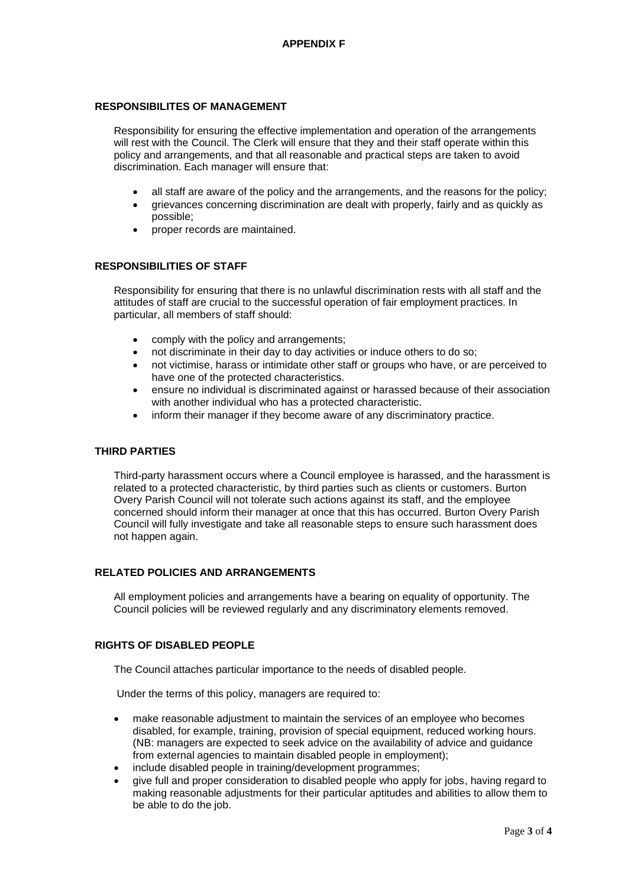#### **RESPONSIBILITES OF MANAGEMENT**

Responsibility for ensuring the effective implementation and operation of the arrangements will rest with the Council. The Clerk will ensure that they and their staff operate within this policy and arrangements, and that all reasonable and practical steps are taken to avoid discrimination. Each manager will ensure that:

- all staff are aware of the policy and the arrangements, and the reasons for the policy;
- grievances concerning discrimination are dealt with properly, fairly and as quickly as possible;
- proper records are maintained.

#### **RESPONSIBILITIES OF STAFF**

Responsibility for ensuring that there is no unlawful discrimination rests with all staff and the attitudes of staff are crucial to the successful operation of fair employment practices. In particular, all members of staff should:

- comply with the policy and arrangements;
- not discriminate in their day to day activities or induce others to do so;
- not victimise, harass or intimidate other staff or groups who have, or are perceived to have one of the protected characteristics.
- ensure no individual is discriminated against or harassed because of their association with another individual who has a protected characteristic.
- inform their manager if they become aware of any discriminatory practice.

#### **THIRD PARTIES**

Third-party harassment occurs where a Council employee is harassed, and the harassment is related to a protected characteristic, by third parties such as clients or customers. Burton Overy Parish Council will not tolerate such actions against its staff, and the employee concerned should inform their manager at once that this has occurred. Burton Overy Parish Council will fully investigate and take all reasonable steps to ensure such harassment does not happen again.

#### **RELATED POLICIES AND ARRANGEMENTS**

All employment policies and arrangements have a bearing on equality of opportunity. The Council policies will be reviewed regularly and any discriminatory elements removed.

#### **RIGHTS OF DISABLED PEOPLE**

The Council attaches particular importance to the needs of disabled people.

Under the terms of this policy, managers are required to:

- make reasonable adjustment to maintain the services of an employee who becomes disabled, for example, training, provision of special equipment, reduced working hours. (NB: managers are expected to seek advice on the availability of advice and guidance from external agencies to maintain disabled people in employment);
- include disabled people in training/development programmes;
- give full and proper consideration to disabled people who apply for jobs, having regard to making reasonable adjustments for their particular aptitudes and abilities to allow them to be able to do the job.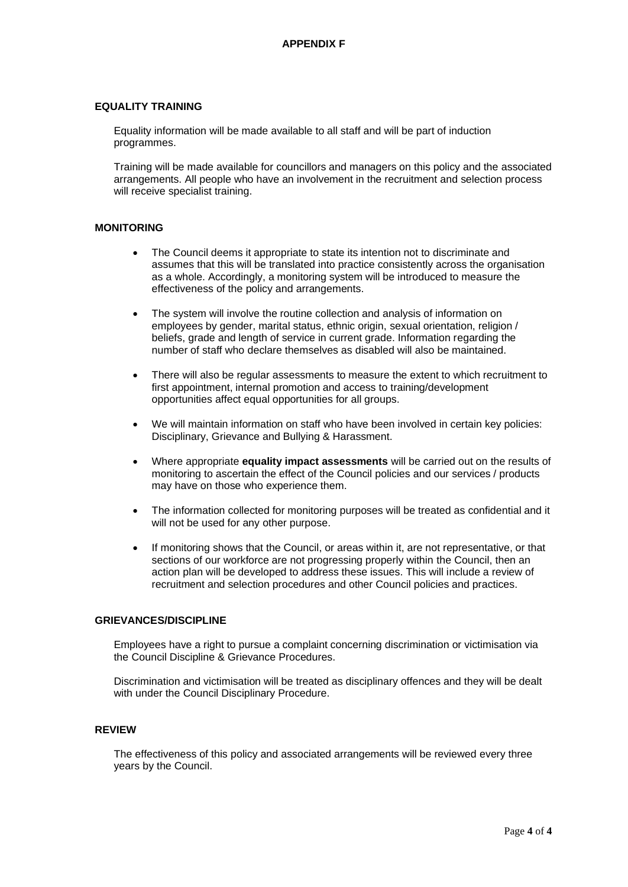#### **EQUALITY TRAINING**

Equality information will be made available to all staff and will be part of induction programmes.

Training will be made available for councillors and managers on this policy and the associated arrangements. All people who have an involvement in the recruitment and selection process will receive specialist training.

#### **MONITORING**

- The Council deems it appropriate to state its intention not to discriminate and assumes that this will be translated into practice consistently across the organisation as a whole. Accordingly, a monitoring system will be introduced to measure the effectiveness of the policy and arrangements.
- The system will involve the routine collection and analysis of information on employees by gender, marital status, ethnic origin, sexual orientation, religion / beliefs, grade and length of service in current grade. Information regarding the number of staff who declare themselves as disabled will also be maintained.
- There will also be regular assessments to measure the extent to which recruitment to first appointment, internal promotion and access to training/development opportunities affect equal opportunities for all groups.
- We will maintain information on staff who have been involved in certain key policies: Disciplinary, Grievance and Bullying & Harassment.
- Where appropriate **equality impact assessments** will be carried out on the results of monitoring to ascertain the effect of the Council policies and our services / products may have on those who experience them.
- The information collected for monitoring purposes will be treated as confidential and it will not be used for any other purpose.
- If monitoring shows that the Council, or areas within it, are not representative, or that sections of our workforce are not progressing properly within the Council, then an action plan will be developed to address these issues. This will include a review of recruitment and selection procedures and other Council policies and practices.

#### **GRIEVANCES/DISCIPLINE**

Employees have a right to pursue a complaint concerning discrimination or victimisation via the Council Discipline & Grievance Procedures.

Discrimination and victimisation will be treated as disciplinary offences and they will be dealt with under the Council Disciplinary Procedure.

#### **REVIEW**

The effectiveness of this policy and associated arrangements will be reviewed every three years by the Council.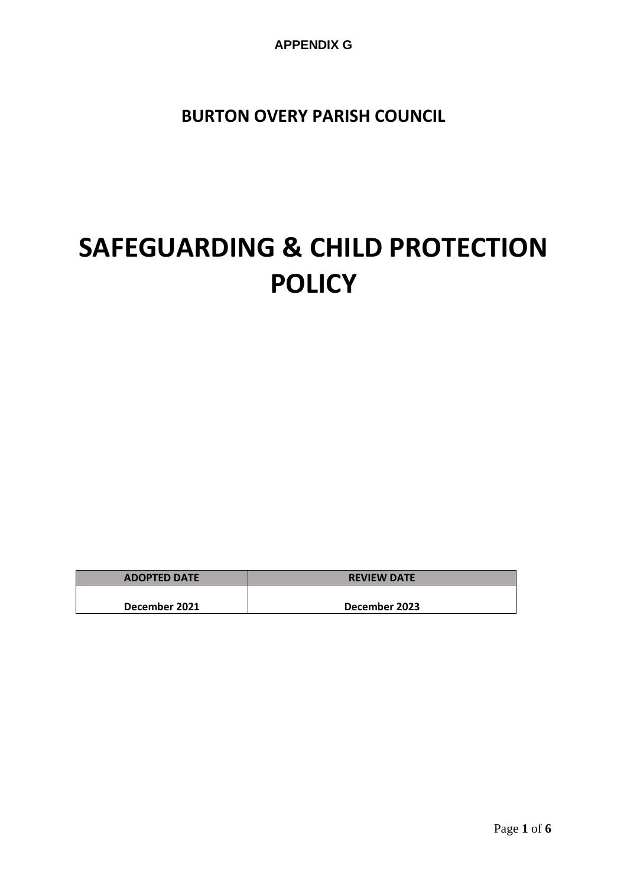**APPENDIX G**

**BURTON OVERY PARISH COUNCIL**

# **SAFEGUARDING & CHILD PROTECTION POLICY**

| <b>ADOPTED DATE</b> | <b>REVIEW DATE</b> |
|---------------------|--------------------|
|                     |                    |
| December 2021       | December 2023      |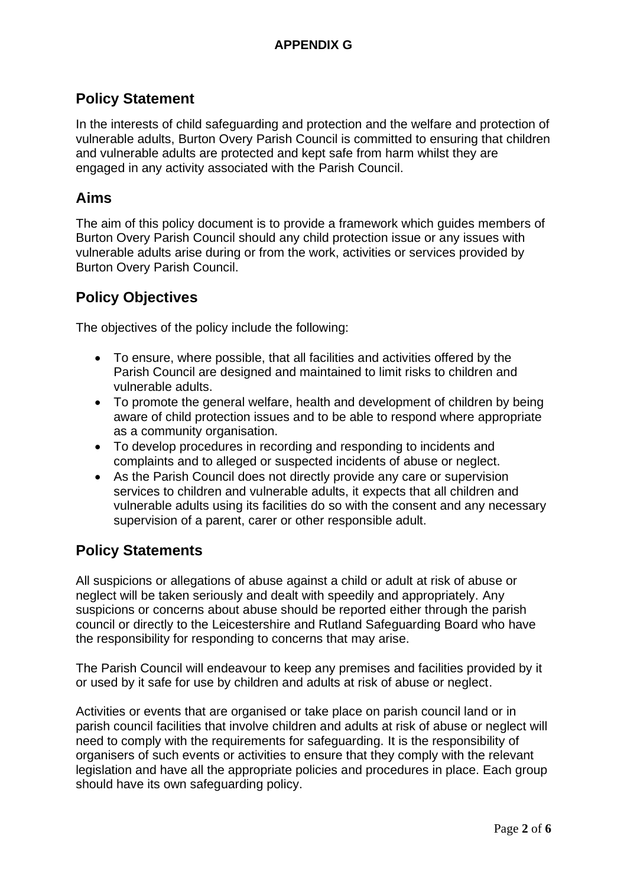# **Policy Statement**

In the interests of child safeguarding and protection and the welfare and protection of vulnerable adults, Burton Overy Parish Council is committed to ensuring that children and vulnerable adults are protected and kept safe from harm whilst they are engaged in any activity associated with the Parish Council.

# **Aims**

The aim of this policy document is to provide a framework which guides members of Burton Overy Parish Council should any child protection issue or any issues with vulnerable adults arise during or from the work, activities or services provided by Burton Overy Parish Council.

# **Policy Objectives**

The objectives of the policy include the following:

- To ensure, where possible, that all facilities and activities offered by the Parish Council are designed and maintained to limit risks to children and vulnerable adults.
- To promote the general welfare, health and development of children by being aware of child protection issues and to be able to respond where appropriate as a community organisation.
- To develop procedures in recording and responding to incidents and complaints and to alleged or suspected incidents of abuse or neglect.
- As the Parish Council does not directly provide any care or supervision services to children and vulnerable adults, it expects that all children and vulnerable adults using its facilities do so with the consent and any necessary supervision of a parent, carer or other responsible adult.

# **Policy Statements**

All suspicions or allegations of abuse against a child or adult at risk of abuse or neglect will be taken seriously and dealt with speedily and appropriately. Any suspicions or concerns about abuse should be reported either through the parish council or directly to the Leicestershire and Rutland Safeguarding Board who have the responsibility for responding to concerns that may arise.

The Parish Council will endeavour to keep any premises and facilities provided by it or used by it safe for use by children and adults at risk of abuse or neglect.

Activities or events that are organised or take place on parish council land or in parish council facilities that involve children and adults at risk of abuse or neglect will need to comply with the requirements for safeguarding. It is the responsibility of organisers of such events or activities to ensure that they comply with the relevant legislation and have all the appropriate policies and procedures in place. Each group should have its own safeguarding policy.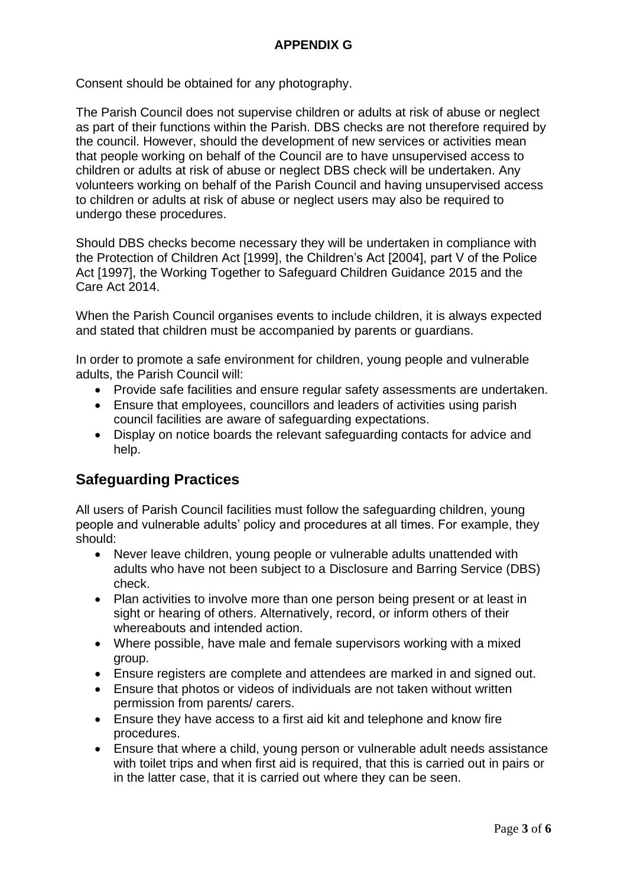Consent should be obtained for any photography.

The Parish Council does not supervise children or adults at risk of abuse or neglect as part of their functions within the Parish. DBS checks are not therefore required by the council. However, should the development of new services or activities mean that people working on behalf of the Council are to have unsupervised access to children or adults at risk of abuse or neglect DBS check will be undertaken. Any volunteers working on behalf of the Parish Council and having unsupervised access to children or adults at risk of abuse or neglect users may also be required to undergo these procedures.

Should DBS checks become necessary they will be undertaken in compliance with the Protection of Children Act [1999], the Children's Act [2004], part V of the Police Act [1997], the Working Together to Safeguard Children Guidance 2015 and the Care Act 2014.

When the Parish Council organises events to include children, it is always expected and stated that children must be accompanied by parents or guardians.

In order to promote a safe environment for children, young people and vulnerable adults, the Parish Council will:

- Provide safe facilities and ensure regular safety assessments are undertaken.
- Ensure that employees, councillors and leaders of activities using parish council facilities are aware of safeguarding expectations.
- Display on notice boards the relevant safeguarding contacts for advice and help.

# **Safeguarding Practices**

All users of Parish Council facilities must follow the safeguarding children, young people and vulnerable adults' policy and procedures at all times. For example, they should:

- Never leave children, young people or vulnerable adults unattended with adults who have not been subject to a Disclosure and Barring Service (DBS) check.
- Plan activities to involve more than one person being present or at least in sight or hearing of others. Alternatively, record, or inform others of their whereabouts and intended action.
- Where possible, have male and female supervisors working with a mixed group.
- Ensure registers are complete and attendees are marked in and signed out.
- Ensure that photos or videos of individuals are not taken without written permission from parents/ carers.
- Ensure they have access to a first aid kit and telephone and know fire procedures.
- Ensure that where a child, young person or vulnerable adult needs assistance with toilet trips and when first aid is required, that this is carried out in pairs or in the latter case, that it is carried out where they can be seen.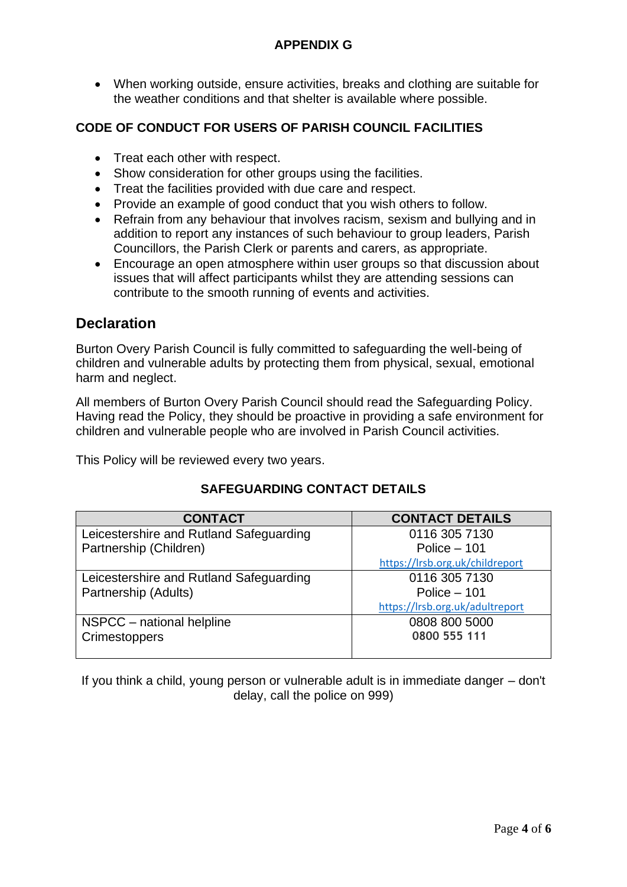# **APPENDIX G**

• When working outside, ensure activities, breaks and clothing are suitable for the weather conditions and that shelter is available where possible.

# **CODE OF CONDUCT FOR USERS OF PARISH COUNCIL FACILITIES**

- Treat each other with respect.
- Show consideration for other groups using the facilities.
- Treat the facilities provided with due care and respect.
- Provide an example of good conduct that you wish others to follow.
- Refrain from any behaviour that involves racism, sexism and bullying and in addition to report any instances of such behaviour to group leaders, Parish Councillors, the Parish Clerk or parents and carers, as appropriate.
- Encourage an open atmosphere within user groups so that discussion about issues that will affect participants whilst they are attending sessions can contribute to the smooth running of events and activities.

# **Declaration**

Burton Overy Parish Council is fully committed to safeguarding the well-being of children and vulnerable adults by protecting them from physical, sexual, emotional harm and neglect.

All members of Burton Overy Parish Council should read the Safeguarding Policy. Having read the Policy, they should be proactive in providing a safe environment for children and vulnerable people who are involved in Parish Council activities.

This Policy will be reviewed every two years.

## **SAFEGUARDING CONTACT DETAILS**

| <b>CONTACT</b>                          | <b>CONTACT DETAILS</b>          |
|-----------------------------------------|---------------------------------|
| Leicestershire and Rutland Safeguarding | 0116 305 7130                   |
| Partnership (Children)                  | Police $-101$                   |
|                                         | https://lrsb.org.uk/childreport |
| Leicestershire and Rutland Safeguarding | 0116 305 7130                   |
| Partnership (Adults)                    | Police $-101$                   |
|                                         | https://lrsb.org.uk/adultreport |
| NSPCC - national helpline               | 0808 800 5000                   |
| Crimestoppers                           | 0800 555 111                    |
|                                         |                                 |

If you think a child, young person or vulnerable adult is in immediate danger – don't delay, call the police on 999)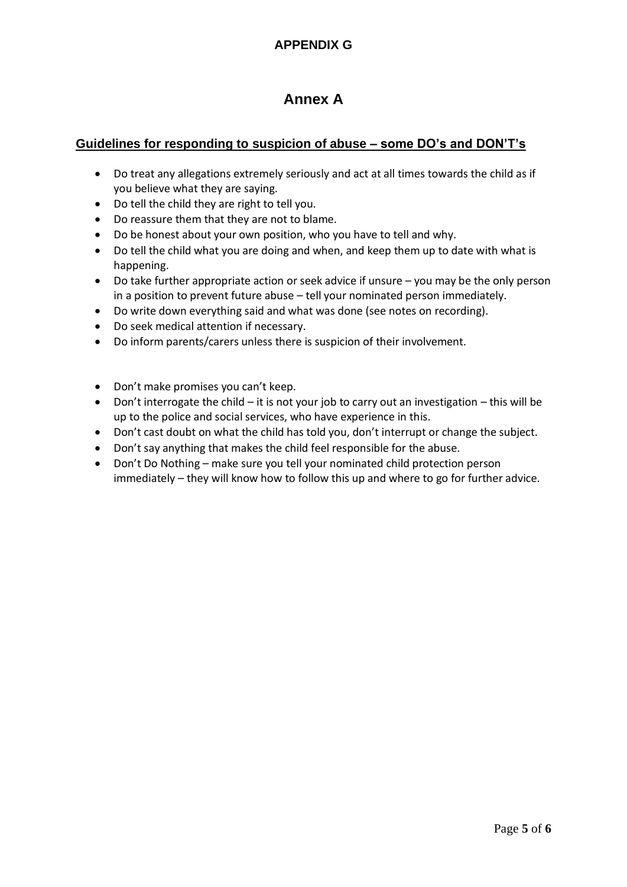# **Annex A**

# **Guidelines for responding to suspicion of abuse – some DO's and DON'T's**

- Do treat any allegations extremely seriously and act at all times towards the child as if you believe what they are saying.
- Do tell the child they are right to tell you.
- Do reassure them that they are not to blame.
- Do be honest about your own position, who you have to tell and why.
- Do tell the child what you are doing and when, and keep them up to date with what is happening.
- Do take further appropriate action or seek advice if unsure you may be the only person in a position to prevent future abuse – tell your nominated person immediately.
- Do write down everything said and what was done (see notes on recording).
- Do seek medical attention if necessary.
- Do inform parents/carers unless there is suspicion of their involvement.
- Don't make promises you can't keep.
- Don't interrogate the child it is not your job to carry out an investigation this will be up to the police and social services, who have experience in this.
- Don't cast doubt on what the child has told you, don't interrupt or change the subject.
- Don't say anything that makes the child feel responsible for the abuse.
- Don't Do Nothing make sure you tell your nominated child protection person immediately – they will know how to follow this up and where to go for further advice.